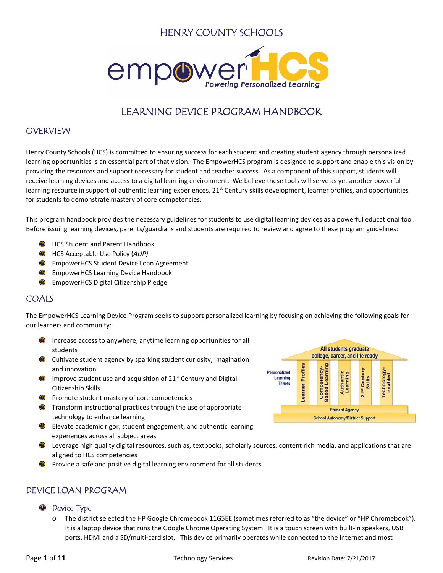# HENRY COUNTY SCHOOLS



# LEARNING DEVICE PROGRAM HANDBOOK

## **OVERVIEW**

Henry County Schools (HCS) is committed to ensuring success for each student and creating student agency through personalized learning opportunities is an essential part of that vision. The EmpowerHCS program is designed to support and enable this vision by providing the resources and support necessary for student and teacher success. As a component of this support, students will receive learning devices and access to a digital learning environment. We believe these tools will serve as yet another powerful learning resource in support of authentic learning experiences,  $21^{st}$  Century skills development, learner profiles, and opportunities for students to demonstrate mastery of core competencies.

This program handbook provides the necessary guidelines for students to use digital learning devices as a powerful educational tool. Before issuing learning devices, parents/guardians and students are required to review and agree to these program guidelines:

- HCS Student and Parent Handbook
- HCS Acceptable Use Policy (*AUP)*
- EmpowerHCS Student Device Loan Agreement
- EmpowerHCS Learning Device Handbook
- EmpowerHCS Digital Citizenship Pledge

## GOALS

The EmpowerHCS Learning Device Program seeks to support personalized learning by focusing on achieving the following goals for our learners and community:

- $\circlearrowleft$ Increase access to anywhere, anytime learning opportunities for all students
- Cultivate student agency by sparking student curiosity, imagination and innovation
- $\bullet$  Improve student use and acquisition of 21<sup>st</sup> Century and Digital Citizenship Skills
- **O** Promote student mastery of core competencies
- **O** Transform instructional practices through the use of appropriate technology to enhance learning
- $\bigcirc$ Elevate academic rigor, student engagement, and authentic learning experiences across all subject areas
- Leverage high quality digital resources, such as, textbooks, scholarly sources, content rich media, and applications that are aligned to HCS competencies
- Provide a safe and positive digital learning environment for all students

## DEVICE LOAN PROGRAM

#### Device Type

The district selected the HP Google Chromebook 11G5EE (sometimes referred to as "the device" or "HP Chromebook"). It is a laptop device that runs the Google Chrome Operating System. It is a touch screen with built-in speakers, USB ports, HDMI and a SD/multi-card slot. This device primarily operates while connected to the Internet and most

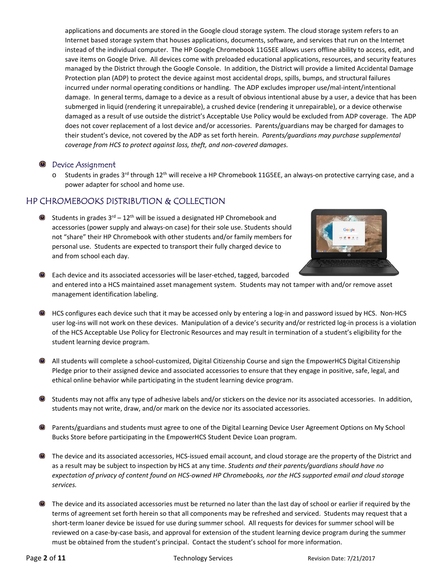applications and documents are stored in the Google cloud storage system. The cloud storage system refers to an Internet based storage system that houses applications, documents, software, and services that run on the Internet instead of the individual computer. The HP Google Chromebook 11G5EE allows users offline ability to access, edit, and save items on Google Drive. All devices come with preloaded educational applications, resources, and security features managed by the District through the Google Console. In addition, the District will provide a limited Accidental Damage Protection plan (ADP) to protect the device against most accidental drops, spills, bumps, and structural failures incurred under normal operating conditions or handling. The ADP excludes improper use/mal‐intent/intentional damage. In general terms, damage to a device as a result of obvious intentional abuse by a user, a device that has been submerged in liquid (rendering it unrepairable), a crushed device (rendering it unrepairable), or a device otherwise damaged as a result of use outside the district's Acceptable Use Policy would be excluded from ADP coverage. The ADP does not cover replacement of a lost device and/or accessories. Parents/guardians may be charged for damages to their student's device, not covered by the ADP as set forth herein. *Parents/guardians may purchase supplemental coverage from HCS to protect against loss, theft, and non‐covered damages.*

#### **Device Assignment**

 $\circ$  Students in grades 3<sup>rd</sup> through 12<sup>th</sup> will receive a HP Chromebook 11G5EE, an always-on protective carrying case, and a power adapter for school and home use.

## HP CHROMEBOOKS DISTRIBUTION & COLLECTION

Students in grades  $3^{rd}$  –  $12^{th}$  will be issued a designated HP Chromebook and accessories (power supply and always‐on case) for their sole use. Students should not "share" their HP Chromebook with other students and/or family members for personal use. Students are expected to transport their fully charged device to and from school each day.



- Each device and its associated accessories will be laser‐etched, tagged, barcoded and entered into a HCS maintained asset management system. Students may not tamper with and/or remove asset management identification labeling.
- HCS configures each device such that it may be accessed only by entering a log-in and password issued by HCS. Non-HCS user log-ins will not work on these devices. Manipulation of a device's security and/or restricted log-in process is a violation of the HCS Acceptable Use Policy for Electronic Resources and may result in termination of a student's eligibility for the student learning device program.
- All students will complete a school‐customized, Digital Citizenship Course and sign the EmpowerHCS Digital Citizenship Pledge prior to their assigned device and associated accessories to ensure that they engage in positive, safe, legal, and ethical online behavior while participating in the student learning device program.
- Students may not affix any type of adhesive labels and/or stickers on the device nor its associated accessories. In addition, students may not write, draw, and/or mark on the device nor its associated accessories.
- Parents/guardians and students must agree to one of the Digital Learning Device User Agreement Options on My School Bucks Store before participating in the EmpowerHCS Student Device Loan program.
- The device and its associated accessories, HCS‐issued email account, and cloud storage are the property of the District and as a result may be subject to inspection by HCS at any time. *Students and their parents/guardians should have no expectation of privacy of content found on HCS‐owned HP Chromebooks, nor the HCS supported email and cloud storage services.*
- The device and its associated accessories must be returned no later than the last day of school or earlier if required by the terms of agreement set forth herein so that all components may be refreshed and serviced. Students may request that a short-term loaner device be issued for use during summer school. All requests for devices for summer school will be reviewed on a case‐by‐case basis, and approval for extension of the student learning device program during the summer must be obtained from the student's principal. Contact the student's school for more information.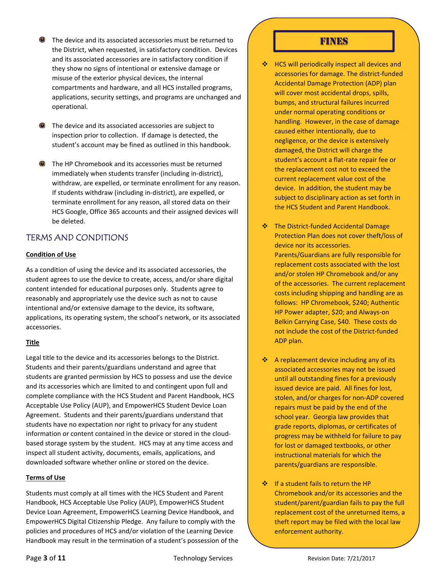- The device and its associated accessories must be returned to the District, when requested, in satisfactory condition. Devices and its associated accessories are in satisfactory condition if they show no signs of intentional or extensive damage or misuse of the exterior physical devices, the internal compartments and hardware, and all HCS installed programs, applications, security settings, and programs are unchanged and operational.
- The device and its associated accessories are subject to inspection prior to collection. If damage is detected, the student's account may be fined as outlined in this handbook.
- The HP Chromebook and its accessories must be returned immediately when students transfer (including in‐district), withdraw, are expelled, or terminate enrollment for any reason. If students withdraw (including in‐district), are expelled, or terminate enrollment for any reason, all stored data on their HCS Google, Office 365 accounts and their assigned devices will be deleted.

# TERMS AND CONDITIONS

## **Condition of Use**

As a condition of using the device and its associated accessories, the student agrees to use the device to create, access, and/or share digital content intended for educational purposes only. Students agree to reasonably and appropriately use the device such as not to cause intentional and/or extensive damage to the device, its software, applications, its operating system, the school's network, or its associated accessories.

#### **Title**

Legal title to the device and its accessories belongs to the District. Students and their parents/guardians understand and agree that students are granted permission by HCS to possess and use the device and its accessories which are limited to and contingent upon full and complete compliance with the HCS Student and Parent Handbook, HCS Acceptable Use Policy (AUP), and EmpowerHCS Student Device Loan Agreement. Students and their parents/guardians understand that students have no expectation nor right to privacy for any student information or content contained in the device or stored in the cloud‐ based storage system by the student. HCS may at any time access and inspect all student activity, documents, emails, applications, and downloaded software whether online or stored on the device.

#### **Terms of Use**

Students must comply at all times with the HCS Student and Parent Handbook, HCS Acceptable Use Policy (AUP), EmpowerHCS Student Device Loan Agreement, EmpowerHCS Learning Device Handbook, and EmpowerHCS Digital Citizenship Pledge. Any failure to comply with the policies and procedures of HCS and/or violation of the Learning Device Handbook may result in the termination of a student's possession of the

## FINES

- ❖ HCS will periodically inspect all devices and accessories for damage. The district‐funded Accidental Damage Protection (ADP) plan will cover most accidental drops, spills, bumps, and structural failures incurred under normal operating conditions or handling. However, in the case of damage caused either intentionally, due to negligence, or the device is extensively damaged, the District will charge the student's account a flat‐rate repair fee or the replacement cost not to exceed the current replacement value cost of the device. In addition, the student may be subject to disciplinary action as set forth in the HCS Student and Parent Handbook.
- The District‐funded Accidental Damage Protection Plan does not cover theft/loss of device nor its accessories. Parents/Guardians are fully responsible for replacement costs associated with the lost and/or stolen HP Chromebook and/or any of the accessories. The current replacement costs including shipping and handling are as follows: HP Chromebook, \$240; Authentic HP Power adapter, \$20; and Always‐on Belkin Carrying Case, \$40. These costs do not include the cost of the District‐funded ADP plan.
- $\triangleq$  A replacement device including any of its associated accessories may not be issued until all outstanding fines for a previously issued device are paid. All fines for lost, stolen, and/or charges for non‐ADP covered repairs must be paid by the end of the school year. Georgia law provides that grade reports, diplomas, or certificates of progress may be withheld for failure to pay for lost or damaged textbooks, or other instructional materials for which the parents/guardians are responsible.
- ❖ If a student fails to return the HP Chromebook and/or its accessories and the student/parent/guardian fails to pay the full replacement cost of the unreturned items, a theft report may be filed with the local law enforcement authority.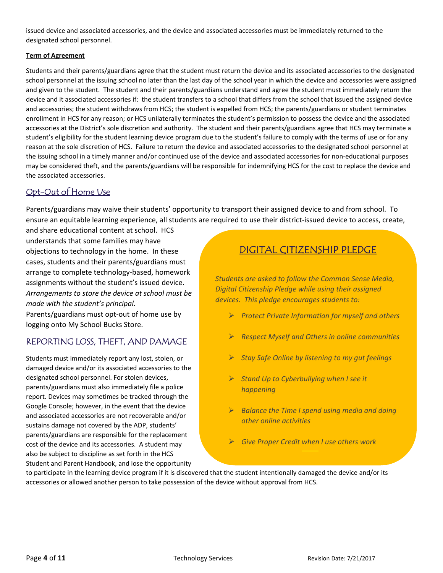issued device and associated accessories, and the device and associated accessories must be immediately returned to the designated school personnel.

#### **Term of Agreement**

Students and their parents/guardians agree that the student must return the device and its associated accessories to the designated school personnel at the issuing school no later than the last day of the school year in which the device and accessories were assigned and given to the student. The student and their parents/guardians understand and agree the student must immediately return the device and it associated accessories if: the student transfers to a school that differs from the school that issued the assigned device and accessories; the student withdraws from HCS; the student is expelled from HCS; the parents/guardians or student terminates enrollment in HCS for any reason; or HCS unilaterally terminates the student's permission to possess the device and the associated accessories at the District's sole discretion and authority. The student and their parents/guardians agree that HCS may terminate a student's eligibility for the student learning device program due to the student's failure to comply with the terms of use or for any reason at the sole discretion of HCS. Failure to return the device and associated accessories to the designated school personnel at the issuing school in a timely manner and/or continued use of the device and associated accessories for non‐educational purposes may be considered theft, and the parents/guardians will be responsible for indemnifying HCS for the cost to replace the device and the associated accessories.

## Opt-Out of Home Use

Parents/guardians may waive their students' opportunity to transport their assigned device to and from school. To ensure an equitable learning experience, all students are required to use their district-issued device to access, create,

and share educational content at school. HCS understands that some families may have objections to technology in the home. In these cases, students and their parents/guardians must arrange to complete technology‐based, homework assignments without the student's issued device. *Arrangements to store the device at school must be made with the student's principal.* 

Parents/guardians must opt‐out of home use by logging onto My School Bucks Store.

## REPORTING LOSS, THEFT, AND DAMAGE

Students must immediately report any lost, stolen, or damaged device and/or its associated accessories to the designated school personnel. For stolen devices, parents/guardians must also immediately file a police report. Devices may sometimes be tracked through the Google Console; however, in the event that the device and associated accessories are not recoverable and/or sustains damage not covered by the ADP, students' parents/guardians are responsible for the replacement cost of the device and its accessories. A student may also be subject to discipline as set forth in the HCS Student and Parent Handbook, and lose the opportunity

# DIGITAL CITIZENSHIP PLEDGE

*Students are asked to follow the Common Sense Media, Digital Citizenship Pledge while using their assigned devices. This pledge encourages students to:* 

- *Protect Private Information for myself and others*
- *Respect Myself and Others in online communities*
- *Stay Safe Online by listening to my gut feelings*
- *Stand Up to Cyberbullying when I see it happening*
- *Balance the Time I spend using media and doing other online activities*
- *Give Proper Credit when I use others work*

to participate in the learning device program if it is discovered that the student intentionally damaged the device and/or its accessories or allowed another person to take possession of the device without approval from HCS.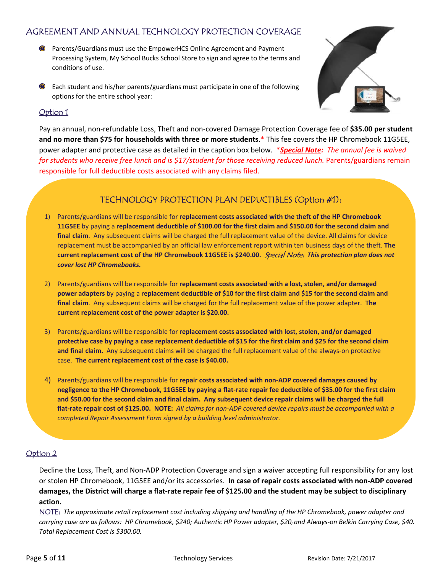## AGREEMENT AND ANNUAL TECHNOLOGY PROTECTION COVERAGE

- Parents/Guardians must use the EmpowerHCS Online Agreement and Payment Processing System, My School Bucks School Store to sign and agree to the terms and conditions of use.
- Each student and his/her parents/guardians must participate in one of the following options for the entire school year:



## Option 1

j

Pay an annual, non‐refundable Loss, Theft and non‐covered Damage Protection Coverage fee of **\$35.00 per student and no more than \$75 for households with three or more students**.\* This fee covers the HP Chromebook 11G5EE, power adapter and protective case as detailed in the caption box below. \**Special Note: The annual fee is waived for students who receive free lunch and is \$17/student for those receiving reduced lunch.* Parents/guardians remain responsible for full deductible costs associated with any claims filed.

## TECHNOLOGY PROTECTION PLAN DEDUCTIBLES (Option #1):

- 1) Parents/guardians will be responsible for **replacement costs associated with the theft of the HP Chromebook 11G5EE** by paying a **replacement deductible of \$100.00 for the first claim and \$150.00 for the second claim and final claim**. Any subsequent claims will be charged the full replacement value of the device. All claims for device replacement must be accompanied by an official law enforcement report within ten business days of the theft. **The current replacement cost of the HP Chromebook 11G5EE is \$240.00.** Special Note: This protection plan does not *cover lost HP Chromebooks.*
- 2) Parents/guardians will be responsible for **replacement costs associated with a lost, stolen, and/or damaged power adapters** by paying a **replacement deductible of \$10 for the first claim and \$15 for the second claim and final claim**. Any subsequent claims will be charged for the full replacement value of the power adapter. **The current replacement cost of the power adapter is \$20.00.**
- 3) Parents/guardians will be responsible for **replacement costs associated with lost, stolen, and/or damaged protective case by paying a case replacement deductible of \$15 for the first claim and \$25 for the second claim**  and final claim. Any subsequent claims will be charged the full replacement value of the always-on protective case. **The current replacement cost of the case is \$40.00.**
- 4) Parents/guardians will be responsible for **repair costs associated with non‐ADP covered damages caused by negligence to the HP Chromebook, 11G5EE by paying a flat‐rate repair fee deductible of \$35.00 for the first claim and \$50.00 for the second claim and final claim. Any subsequent device repair claims will be charged the full flat‐rate repair cost of \$125.00. NOTE:** *All claims for non‐ADP covered device repairs must be accompanied with a completed Repair Assessment Form signed by a building level administrator.*

### Option 2

l

Decline the Loss, Theft, and Non‐ADP Protection Coverage and sign a waiver accepting full responsibility for any lost or stolen HP Chromebook, 11G5EE and/or its accessories. **In case of repair costs associated with non‐ADP covered damages, the District will charge a flat‐rate repair fee of \$125.00 and the student may be subject to disciplinary action.**

NOTE: *The approximate retail replacement cost including shipping and handling of the HP Chromebook, power adapter and carrying case are as follows: HP Chromebook, \$240; Authentic HP Power adapter, \$20; and Always‐on Belkin Carrying Case, \$40. Total Replacement Cost is \$300.00.*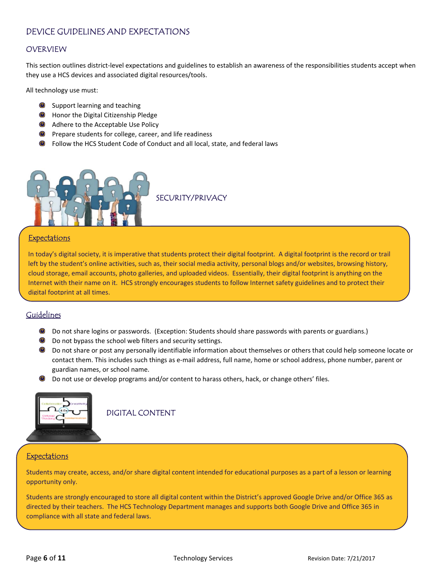## DEVICE GUIDELINES AND EXPECTATIONS

### OVERVIEW

This section outlines district-level expectations and guidelines to establish an awareness of the responsibilities students accept when they use a HCS devices and associated digital resources/tools.

All technology use must:

- **Support learning and teaching**
- **C** Honor the Digital Citizenship Pledge
- Adhere to the Acceptable Use Policy
- **O** Prepare students for college, career, and life readiness
- Follow the HCS Student Code of Conduct and all local, state, and federal laws



#### **Expectations**

In today's digital society, it is imperative that students protect their digital footprint. A digital footprint is the record or trail left by the student's online activities, such as, their social media activity, personal blogs and/or websites, browsing history, cloud storage, email accounts, photo galleries, and uploaded videos. Essentially, their digital footprint is anything on the Internet with their name on it. HCS strongly encourages students to follow Internet safety guidelines and to protect their digital footprint at all times.

### Guidelines

- $\circledcirc$ Do not share logins or passwords. (Exception: Students should share passwords with parents or guardians.)
- **O** Do not bypass the school web filters and security settings.
- Do not share or post any personally identifiable information about themselves or others that could help someone locate or contact them. This includes such things as e-mail address, full name, home or school address, phone number, parent or guardian names, or school name.
- Do not use or develop programs and/or content to harass others, hack, or change others' files.



DIGITAL CONTENT

#### **Expectations**

Students may create, access, and/or share digital content intended for educational purposes as a part of a lesson or learning opportunity only.

Students are strongly encouraged to store all digital content within the District's approved Google Drive and/or Office 365 as directed by their teachers. The HCS Technology Department manages and supports both Google Drive and Office 365 in compliance with all state and federal laws.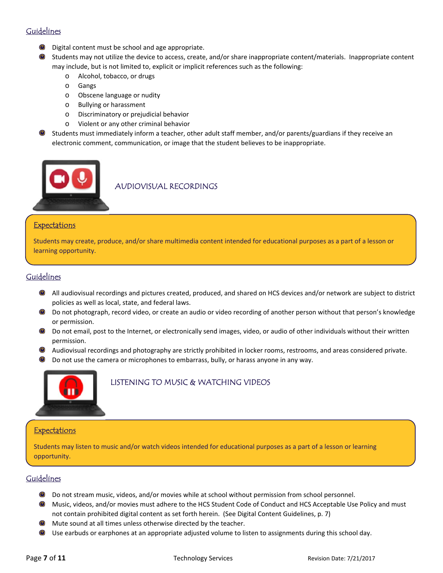## Guidelines

- Digital content must be school and age appropriate.
- Students may not utilize the device to access, create, and/or share inappropriate content/materials. Inappropriate content may include, but is not limited to, explicit or implicit references such as the following:
	- o Alcohol, tobacco, or drugs
	- o Gangs
	- o Obscene language or nudity
	- o Bullying or harassment
	- o Discriminatory or prejudicial behavior
	- o Violent or any other criminal behavior
- Students must immediately inform a teacher, other adult staff member, and/or parents/guardians if they receive an electronic comment, communication, or image that the student believes to be inappropriate.



AUDIOVISUAL RECORDINGS

### **Expectations**

Students may create, produce, and/or share multimedia content intended for educational purposes as a part of a lesson or learning opportunity.

### Guidelines

- All audiovisual recordings and pictures created, produced, and shared on HCS devices and/or network are subject to district policies as well as local, state, and federal laws.
- Do not photograph, record video, or create an audio or video recording of another person without that person's knowledge or permission.
- $\bigcirc$ Do not email, post to the Internet, or electronically send images, video, or audio of other individuals without their written permission.
- Audiovisual recordings and photography are strictly prohibited in locker rooms, restrooms, and areas considered private.
- Do not use the camera or microphones to embarrass, bully, or harass anyone in any way. O



## LISTENING TO MUSIC & WATCHING VIDEOS

#### **Expectations**

Students may listen to music and/or watch videos intended for educational purposes as a part of a lesson or learning opportunity.

## Guidelines

- Do not stream music, videos, and/or movies while at school without permission from school personnel.  $\bigcirc$
- Music, videos, and/or movies must adhere to the HCS Student Code of Conduct and HCS Acceptable Use Policy and must not contain prohibited digital content as set forth herein. (See Digital Content Guidelines, p. 7)
- Mute sound at all times unless otherwise directed by the teacher.
- Use earbuds or earphones at an appropriate adjusted volume to listen to assignments during this school day.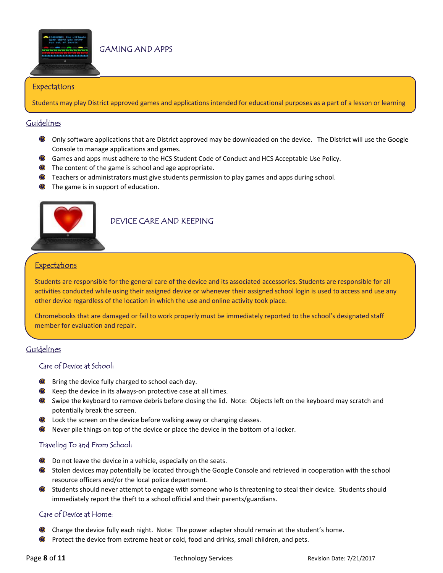

#### **Expectations**

Students may play District approved games and applications intended for educational purposes as a part of a lesson or learning

### Guidelines

- Only software applications that are District approved may be downloaded on the device. The District will use the Google Console to manage applications and games.
- Games and apps must adhere to the HCS Student Code of Conduct and HCS Acceptable Use Policy.
- **O** The content of the game is school and age appropriate.
- **O** Teachers or administrators must give students permission to play games and apps during school.
- The game is in support of education.



### DEVICE CARE AND KEEPING

#### **Expectations**

Students are responsible for the general care of the device and its associated accessories. Students are responsible for all activities conducted while using their assigned device or whenever their assigned school login is used to access and use any other device regardless of the location in which the use and online activity took place.

Chromebooks that are damaged or fail to work properly must be immediately reported to the school's designated staff member for evaluation and repair.

## Guidelines

#### Care of Device at School:

- $\circledcirc$ Bring the device fully charged to school each day.
- $\bigcirc$ Keep the device in its always‐on protective case at all times.
- Swipe the keyboard to remove debris before closing the lid. Note: Objects left on the keyboard may scratch and potentially break the screen.
- **O** Lock the screen on the device before walking away or changing classes.
- Never pile things on top of the device or place the device in the bottom of a locker.

#### Traveling To and From School:

- **O** Do not leave the device in a vehicle, especially on the seats.
- Stolen devices may potentially be located through the Google Console and retrieved in cooperation with the school resource officers and/or the local police department.
- Students should never attempt to engage with someone who is threatening to steal their device. Students should immediately report the theft to a school official and their parents/guardians.

#### Care of Device at Home:

- Charge the device fully each night. Note: The power adapter should remain at the student's home.
- $\circlearrowleft$ Protect the device from extreme heat or cold, food and drinks, small children, and pets.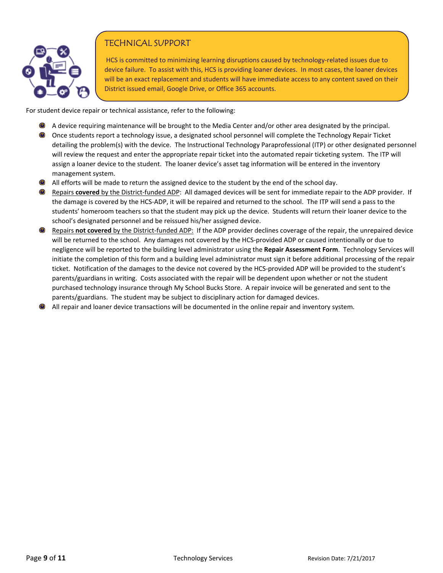

## TECHNICAL SUPPORT

HCS is committed to minimizing learning disruptions caused by technology-related issues due to device failure. To assist with this, HCS is providing loaner devices. In most cases, the loaner devices will be an exact replacement and students will have immediate access to any content saved on their District issued email, Google Drive, or Office 365 accounts.

For student device repair or technical assistance, refer to the following:

- A device requiring maintenance will be brought to the Media Center and/or other area designated by the principal.
- Once students report a technology issue, a designated school personnel will complete the Technology Repair Ticket detailing the problem(s) with the device. The Instructional Technology Paraprofessional (ITP) or other designated personnel will review the request and enter the appropriate repair ticket into the automated repair ticketing system. The ITP will assign a loaner device to the student. The loaner device's asset tag information will be entered in the inventory management system.
- All efforts will be made to return the assigned device to the student by the end of the school day.
- Repairs **covered** by the District-funded ADP: All damaged devices will be sent for immediate repair to the ADP provider. If the damage is covered by the HCS‐ADP, it will be repaired and returned to the school. The ITP will send a pass to the students' homeroom teachers so that the student may pick up the device. Students will return their loaner device to the school's designated personnel and be reissued his/her assigned device.
- Repairs not covered by the District-funded ADP: If the ADP provider declines coverage of the repair, the unrepaired device will be returned to the school. Any damages not covered by the HCS-provided ADP or caused intentionally or due to negligence will be reported to the building level administrator using the **Repair Assessment Form**. Technology Services will initiate the completion of this form and a building level administrator must sign it before additional processing of the repair ticket. Notification of the damages to the device not covered by the HCS‐provided ADP will be provided to the student's parents/guardians in writing. Costs associated with the repair will be dependent upon whether or not the student purchased technology insurance through My School Bucks Store. A repair invoice will be generated and sent to the parents/guardians. The student may be subject to disciplinary action for damaged devices.
- All repair and loaner device transactions will be documented in the online repair and inventory system.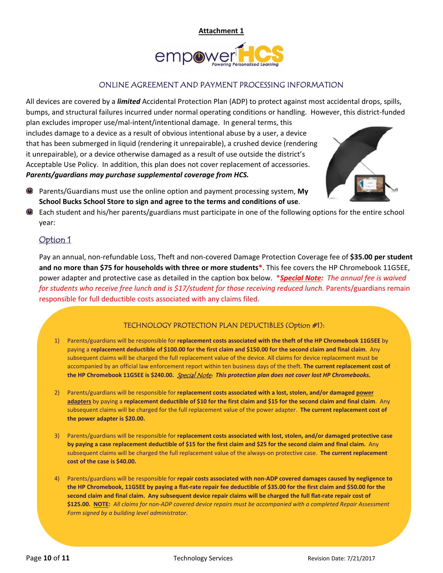

### ONLINE AGREEMENT AND PAYMENT PROCESSING INFORMATION

All devices are covered by a *limited* Accidental Protection Plan (ADP) to protect against most accidental drops, spills, bumps, and structural failures incurred under normal operating conditions or handling. However, this district‐funded

plan excludes improper use/mal‐intent/intentional damage. In general terms, this includes damage to a device as a result of obvious intentional abuse by a user, a device that has been submerged in liquid (rendering it unrepairable), a crushed device (rendering it unrepairable), or a device otherwise damaged as a result of use outside the district's Acceptable Use Policy. In addition, this plan does not cover replacement of accessories. *Parents/guardians may purchase supplemental coverage from HCS.* 



- Parents/Guardians must use the online option and payment processing system, **My School Bucks School Store to sign and agree to the terms and conditions of use**.
	- Each student and his/her parents/guardians must participate in one of the following options for the entire school year:

## Option 1

 $\overline{\phantom{a}}$ 

Pay an annual, non‐refundable Loss, Theft and non‐covered Damage Protection Coverage fee of **\$35.00 per student and no more than \$75 for households with three or more students\***. This fee covers the HP Chromebook 11G5EE, power adapter and protective case as detailed in the caption box below. \**Special Note: The annual fee is waived for students who receive free lunch and is \$17/student for those receiving reduced lunch.* Parents/guardians remain responsible for full deductible costs associated with any claims filed.

### TECHNOLOGY PROTECTION PLAN DEDUCTIBLES (Option #1):

- 1) Parents/guardians will be responsible for **replacement costs associated with the theft of the HP Chromebook 11G5EE** by paying a **replacement deductible of \$100.00 for the first claim and \$150.00 for the second claim and final claim**. Any subsequent claims will be charged the full replacement value of the device. All claims for device replacement must be accompanied by an official law enforcement report within ten business days of the theft. **The current replacement cost of**  the HP Chromebook 11G5EE is \$240.00.  *Special Note:* This protection plan does not cover lost HP Chromebooks.
- 2) Parents/guardians will be responsible for **replacement costs associated with a lost, stolen, and/or damaged power adapters** by paying a **replacement deductible of \$10 for the first claim and \$15 for the second claim and final claim**. Any subsequent claims will be charged for the full replacement value of the power adapter. **The current replacement cost of the power adapter is \$20.00.**
- 3) Parents/guardians will be responsible for **replacement costs associated with lost, stolen, and/or damaged protective case by paying a case replacement deductible of \$15 for the first claim and \$25 for the second claim and final claim.** Any subsequent claims will be charged the full replacement value of the always‐on protective case. **The current replacement cost of the case is \$40.00.**
- 4) Parents/guardians will be responsible for **repair costs associated with non‐ADP covered damages caused by negligence to the HP Chromebook, 11G5EE by paying a flat‐rate repair fee deductible of \$35.00 for the first claim and \$50.00 for the second claim and final claim. Any subsequent device repair claims will be charged the full flat‐rate repair cost of \$125.00. NOTE:** *All claims for non‐ADP covered device repairs must be accompanied with a completed Repair Assessment Form signed by a building level administrator.*